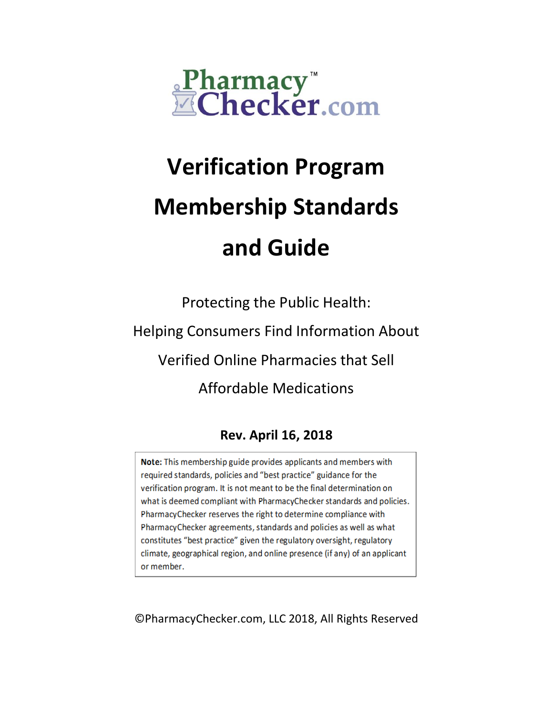

# **Verification Program Membership Standards and Guide**

Protecting the Public Health: Helping Consumers Find Information About Verified Online Pharmacies that Sell Affordable Medications

# **Rev. April 16, 2018**

Note: This membership guide provides applicants and members with required standards, policies and "best practice" guidance for the verification program. It is not meant to be the final determination on what is deemed compliant with PharmacyChecker standards and policies. PharmacyChecker reserves the right to determine compliance with PharmacyChecker agreements, standards and policies as well as what constitutes "best practice" given the regulatory oversight, regulatory climate, geographical region, and online presence (if any) of an applicant or member.

©PharmacyChecker.com, LLC 2018, All Rights Reserved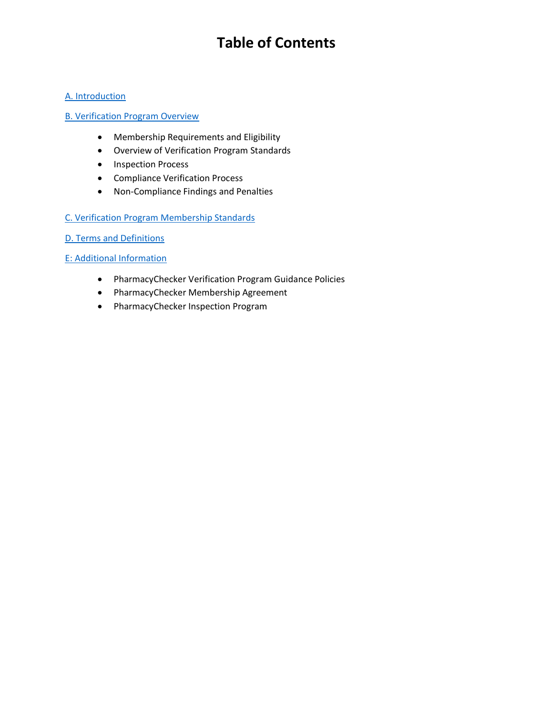# **Table of Contents**

#### [A. Introduction](#page-2-0)

#### [B. Verification Program Overview](#page-4-0)

- Membership Requirements and Eligibility
- Overview of Verification Program Standards
- Inspection Process
- Compliance Verification Process
- Non-Compliance Findings and Penalties

#### [C. Verification Program Membership Standards](#page-5-0)

[D. Terms and Definitions](#page-19-0)

#### [E: Additional Information](#page-21-0)

- PharmacyChecker Verification Program Guidance Policies
- PharmacyChecker Membership Agreement
- PharmacyChecker Inspection Program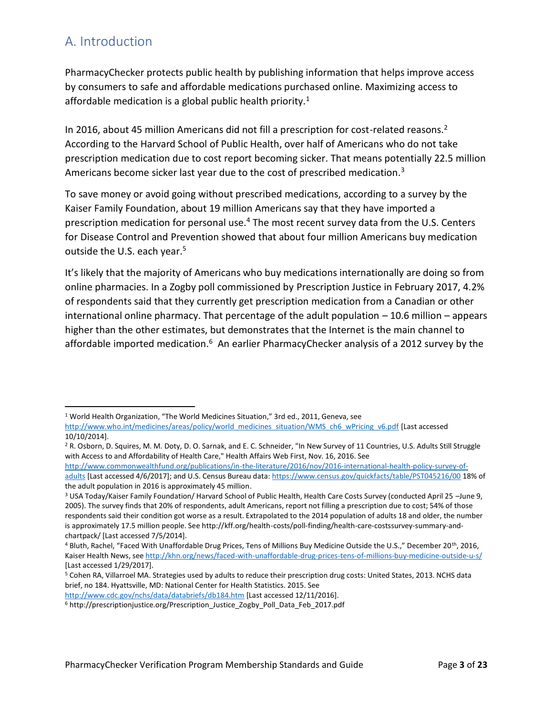# <span id="page-2-0"></span>A. Introduction

 $\overline{a}$ 

PharmacyChecker protects public health by publishing information that helps improve access by consumers to safe and affordable medications purchased online. Maximizing access to affordable medication is a global public health priority.<sup>1</sup>

In 2016, about 45 million Americans did not fill a prescription for cost-related reasons.<sup>2</sup> According to the Harvard School of Public Health, over half of Americans who do not take prescription medication due to cost report becoming sicker. That means potentially 22.5 million Americans become sicker last year due to the cost of prescribed medication.<sup>3</sup>

To save money or avoid going without prescribed medications, according to a survey by the Kaiser Family Foundation, about 19 million Americans say that they have imported a prescription medication for personal use.<sup>4</sup> The most recent survey data from the U.S. Centers for Disease Control and Prevention showed that about four million Americans buy medication outside the U.S. each year.<sup>5</sup>

It's likely that the majority of Americans who buy medications internationally are doing so from online pharmacies. In a Zogby poll commissioned by Prescription Justice in February 2017, 4.2% of respondents said that they currently get prescription medication from a Canadian or other international online pharmacy. That percentage of the adult population – 10.6 million – appears higher than the other estimates, but demonstrates that the Internet is the main channel to affordable imported medication.<sup>6</sup> An earlier PharmacyChecker analysis of a 2012 survey by the

<sup>1</sup> World Health Organization, "The World Medicines Situation," 3rd ed., 2011, Geneva, see [http://www.who.int/medicines/areas/policy/world\\_medicines\\_situation/WMS\\_ch6\\_wPricing\\_v6.pdf](http://www.who.int/medicines/areas/policy/world_medicines_situation/WMS_ch6_wPricing_v6.pdf) [Last accessed 10/10/2014].

<sup>&</sup>lt;sup>2</sup> R. Osborn, D. Squires, M. M. Doty, D. O. Sarnak, and E. C. Schneider, "In New Survey of 11 Countries, U.S. Adults Still Struggle with Access to and Affordability of Health Care," Health Affairs Web First, Nov. 16, 2016. See

[http://www.commonwealthfund.org/publications/in-the-literature/2016/nov/2016-international-health-policy-survey-of](http://www.commonwealthfund.org/publications/in-the-literature/2016/nov/2016-international-health-policy-survey-of-adults)[adults](http://www.commonwealthfund.org/publications/in-the-literature/2016/nov/2016-international-health-policy-survey-of-adults) [Last accessed 4/6/2017]; and U.S. Census Bureau data[: https://www.census.gov/quickfacts/table/PST045216/00](https://www.census.gov/quickfacts/table/PST045216/00) 18% of the adult population in 2016 is approximately 45 million.

<sup>3</sup> USA Today/Kaiser Family Foundation/ Harvard School of Public Health, Health Care Costs Survey (conducted April 25 –June 9, 2005). The survey finds that 20% of respondents, adult Americans, report not filling a prescription due to cost; 54% of those respondents said their condition got worse as a result. Extrapolated to the 2014 population of adults 18 and older, the number is approximately 17.5 million people. See http://kff.org/health-costs/poll-finding/health-care-costssurvey-summary-andchartpack/ [Last accessed 7/5/2014].

<sup>4</sup> Bluth, Rachel, "Faced With Unaffordable Drug Prices, Tens of Millions Buy Medicine Outside the U.S.," December 20th, 2016, Kaiser Health News, se[e http://khn.org/news/faced-with-unaffordable-drug-prices-tens-of-millions-buy-medicine-outside-u-s/](http://khn.org/news/faced-with-unaffordable-drug-prices-tens-of-millions-buy-medicine-outside-u-s/) [Last accessed 1/29/2017].

<sup>5</sup> Cohen RA, Villarroel MA. Strategies used by adults to reduce their prescription drug costs: United States, 2013. NCHS data brief, no 184. Hyattsville, MD: National Center for Health Statistics. 2015. See

<http://www.cdc.gov/nchs/data/databriefs/db184.htm> [Last accessed 12/11/2016].

<sup>&</sup>lt;sup>6</sup> http://prescriptionjustice.org/Prescription\_Justice\_Zogby\_Poll\_Data\_Feb\_2017.pdf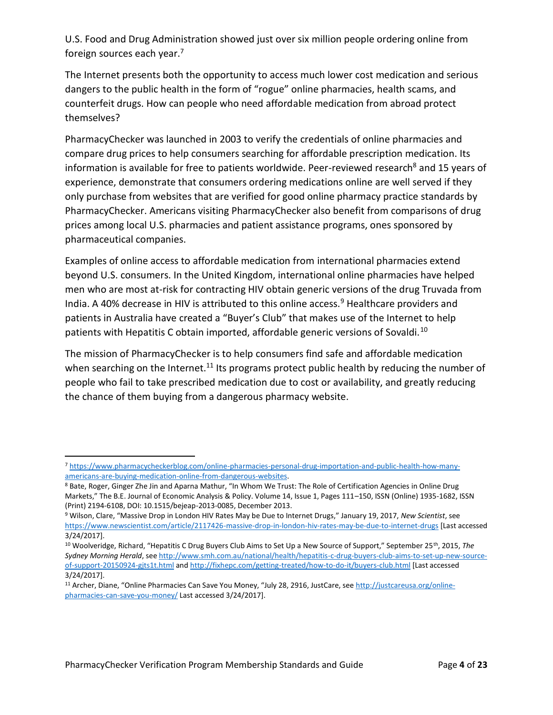U.S. Food and Drug Administration showed just over six million people ordering online from foreign sources each year.<sup>7</sup>

The Internet presents both the opportunity to access much lower cost medication and serious dangers to the public health in the form of "rogue" online pharmacies, health scams, and counterfeit drugs. How can people who need affordable medication from abroad protect themselves?

PharmacyChecker was launched in 2003 to verify the credentials of online pharmacies and compare drug prices to help consumers searching for affordable prescription medication. Its information is available for free to patients worldwide. Peer-reviewed research<sup>8</sup> and 15 years of experience, demonstrate that consumers ordering medications online are well served if they only purchase from websites that are verified for good online pharmacy practice standards by PharmacyChecker. Americans visiting PharmacyChecker also benefit from comparisons of drug prices among local U.S. pharmacies and patient assistance programs, ones sponsored by pharmaceutical companies.

Examples of online access to affordable medication from international pharmacies extend beyond U.S. consumers. In the United Kingdom, international online pharmacies have helped men who are most at-risk for contracting HIV obtain generic versions of the drug Truvada from India. A 40% decrease in HIV is attributed to this online access.<sup>9</sup> Healthcare providers and patients in Australia have created a "Buyer's Club" that makes use of the Internet to help patients with Hepatitis C obtain imported, affordable generic versions of Sovaldi.<sup>10</sup>

The mission of PharmacyChecker is to help consumers find safe and affordable medication when searching on the Internet.<sup>11</sup> Its programs protect public health by reducing the number of people who fail to take prescribed medication due to cost or availability, and greatly reducing the chance of them buying from a dangerous pharmacy website.

l

<sup>7</sup> [https://www.pharmacycheckerblog.com/online-pharmacies-personal-drug-importation-and-public-health-how-many](https://www.pharmacycheckerblog.com/online-pharmacies-personal-drug-importation-and-public-health-how-many-americans-are-buying-medication-online-from-dangerous-websites)[americans-are-buying-medication-online-from-dangerous-websites.](https://www.pharmacycheckerblog.com/online-pharmacies-personal-drug-importation-and-public-health-how-many-americans-are-buying-medication-online-from-dangerous-websites)

<sup>8</sup> Bate, Roger, Ginger Zhe Jin and Aparna Mathur, "In Whom We Trust: The Role of Certification Agencies in Online Drug Markets," The B.E. Journal of Economic Analysis & Policy. Volume 14, Issue 1, Pages 111–150, ISSN (Online) 1935-1682, ISSN (Print) 2194-6108, DOI: 10.1515/bejeap-2013-0085, December 2013.

<sup>9</sup> Wilson, Clare, "Massive Drop in London HIV Rates May be Due to Internet Drugs," January 19, 2017, *New Scientist*, see <https://www.newscientist.com/article/2117426-massive-drop-in-london-hiv-rates-may-be-due-to-internet-drugs> [Last accessed 3/24/2017].

<sup>10</sup> Woolveridge, Richard, "Hepatitis C Drug Buyers Club Aims to Set Up a New Source of Support," September 25th, 2015, *The Sydney Morning Herald*, se[e http://www.smh.com.au/national/health/hepatitis-c-drug-buyers-club-aims-to-set-up-new-source](http://www.smh.com.au/national/health/hepatitis-c-drug-buyers-club-aims-to-set-up-new-source-of-support-20150924-gjts1t.html)[of-support-20150924-gjts1t.html](http://www.smh.com.au/national/health/hepatitis-c-drug-buyers-club-aims-to-set-up-new-source-of-support-20150924-gjts1t.html) an[d http://fixhepc.com/getting-treated/how-to-do-it/buyers-club.html](http://fixhepc.com/getting-treated/how-to-do-it/buyers-club.html) [Last accessed 3/24/2017].

<sup>&</sup>lt;sup>11</sup> Archer, Diane, "Online Pharmacies Can Save You Money, "July 28, 2916, JustCare, see [http://justcareusa.org/online](http://justcareusa.org/online-pharmacies-can-save-you-money/)[pharmacies-can-save-you-money/](http://justcareusa.org/online-pharmacies-can-save-you-money/) Last accessed 3/24/2017].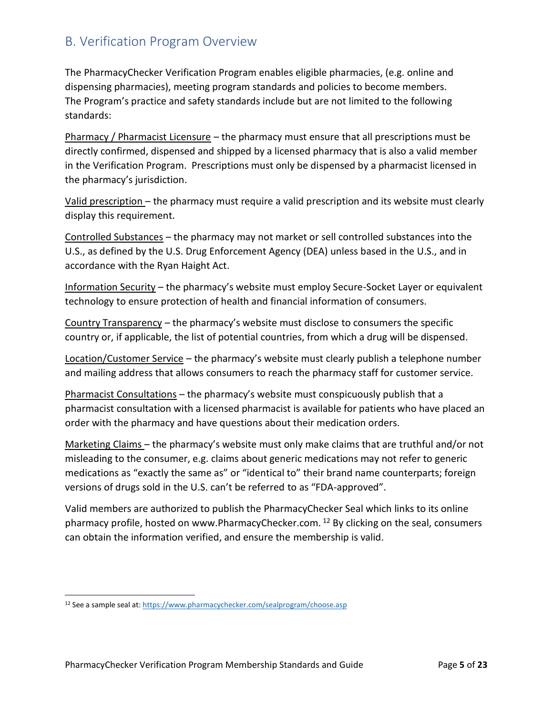## <span id="page-4-0"></span>B. Verification Program Overview

The PharmacyChecker Verification Program enables eligible pharmacies, (e.g. online and dispensing pharmacies), meeting program standards and policies to become members. The Program's practice and safety standards include but are not limited to the following standards:

Pharmacy / Pharmacist Licensure – the pharmacy must ensure that all prescriptions must be directly confirmed, dispensed and shipped by a licensed pharmacy that is also a valid member in the Verification Program. Prescriptions must only be dispensed by a pharmacist licensed in the pharmacy's jurisdiction.

Valid prescription – the pharmacy must require a valid prescription and its website must clearly display this requirement.

Controlled Substances – the pharmacy may not market or sell controlled substances into the U.S., as defined by the U.S. Drug Enforcement Agency (DEA) unless based in the U.S., and in accordance with the Ryan Haight Act.

Information Security – the pharmacy's website must employ Secure-Socket Layer or equivalent technology to ensure protection of health and financial information of consumers.

Country Transparency – the pharmacy's website must disclose to consumers the specific country or, if applicable, the list of potential countries, from which a drug will be dispensed.

Location/Customer Service – the pharmacy's website must clearly publish a telephone number and mailing address that allows consumers to reach the pharmacy staff for customer service.

Pharmacist Consultations – the pharmacy's website must conspicuously publish that a pharmacist consultation with a licensed pharmacist is available for patients who have placed an order with the pharmacy and have questions about their medication orders.

Marketing Claims – the pharmacy's website must only make claims that are truthful and/or not misleading to the consumer, e.g. claims about generic medications may not refer to generic medications as "exactly the same as" or "identical to" their brand name counterparts; foreign versions of drugs sold in the U.S. can't be referred to as "FDA-approved".

Valid members are authorized to publish the PharmacyChecker Seal which links to its online pharmacy profile, hosted on www.PharmacyChecker.com.  $^{12}$  By clicking on the seal, consumers can obtain the information verified, and ensure the membership is valid.

 $\overline{a}$ 

<sup>12</sup> See a sample seal at:<https://www.pharmacychecker.com/sealprogram/choose.asp>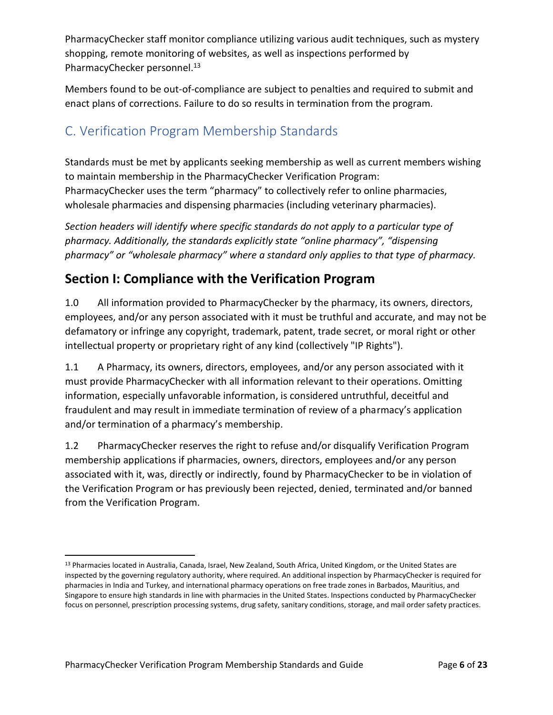PharmacyChecker staff monitor compliance utilizing various audit techniques, such as mystery shopping, remote monitoring of websites, as well as inspections performed by PharmacyChecker personnel.<sup>13</sup>

Members found to be out-of-compliance are subject to penalties and required to submit and enact plans of corrections. Failure to do so results in termination from the program.

# <span id="page-5-0"></span>C. Verification Program Membership Standards

Standards must be met by applicants seeking membership as well as current members wishing to maintain membership in the PharmacyChecker Verification Program: PharmacyChecker uses the term "pharmacy" to collectively refer to online pharmacies, wholesale pharmacies and dispensing pharmacies (including veterinary pharmacies).

*Section headers will identify where specific standards do not apply to a particular type of pharmacy. Additionally, the standards explicitly state "online pharmacy", "dispensing pharmacy" or "wholesale pharmacy" where a standard only applies to that type of pharmacy.*

# **Section I: Compliance with the Verification Program**

1.0 All information provided to PharmacyChecker by the pharmacy, its owners, directors, employees, and/or any person associated with it must be truthful and accurate, and may not be defamatory or infringe any copyright, trademark, patent, trade secret, or moral right or other intellectual property or proprietary right of any kind (collectively "IP Rights").

1.1 A Pharmacy, its owners, directors, employees, and/or any person associated with it must provide PharmacyChecker with all information relevant to their operations. Omitting information, especially unfavorable information, is considered untruthful, deceitful and fraudulent and may result in immediate termination of review of a pharmacy's application and/or termination of a pharmacy's membership.

1.2 PharmacyChecker reserves the right to refuse and/or disqualify Verification Program membership applications if pharmacies, owners, directors, employees and/or any person associated with it, was, directly or indirectly, found by PharmacyChecker to be in violation of the Verification Program or has previously been rejected, denied, terminated and/or banned from the Verification Program.

l

<sup>13</sup> Pharmacies located in Australia, Canada, Israel, New Zealand, South Africa, United Kingdom, or the United States are inspected by the governing regulatory authority, where required. An additional inspection by PharmacyChecker is required for pharmacies in India and Turkey, and international pharmacy operations on free trade zones in Barbados, Mauritius, and Singapore to ensure high standards in line with pharmacies in the United States. Inspections conducted by PharmacyChecker focus on personnel, prescription processing systems, drug safety, sanitary conditions, storage, and mail order safety practices.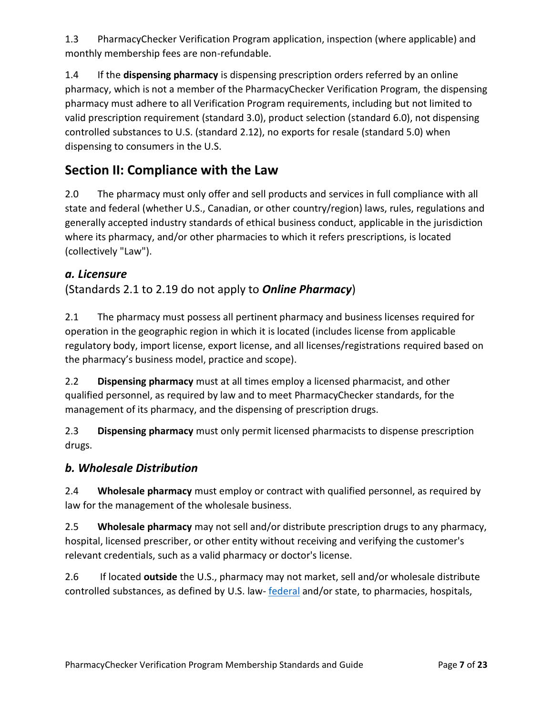1.3 PharmacyChecker Verification Program application, inspection (where applicable) and monthly membership fees are non-refundable.

1.4 If the **dispensing pharmacy** is dispensing prescription orders referred by an online pharmacy, which is not a member of the PharmacyChecker Verification Program, the dispensing pharmacy must adhere to all Verification Program requirements, including but not limited to valid prescription requirement (standard 3.0), product selection (standard 6.0), not dispensing controlled substances to U.S. (standard 2.12), no exports for resale (standard 5.0) when dispensing to consumers in the U.S.

# **Section II: Compliance with the Law**

2.0 The pharmacy must only offer and sell products and services in full compliance with all state and federal (whether U.S., Canadian, or other country/region) laws, rules, regulations and generally accepted industry standards of ethical business conduct, applicable in the jurisdiction where its pharmacy, and/or other pharmacies to which it refers prescriptions, is located (collectively "Law").

#### *a. Licensure*

#### (Standards 2.1 to 2.19 do not apply to *Online Pharmacy*)

2.1 The pharmacy must possess all pertinent pharmacy and business licenses required for operation in the geographic region in which it is located (includes license from applicable regulatory body, import license, export license, and all licenses/registrations required based on the pharmacy's business model, practice and scope).

2.2 **Dispensing pharmacy** must at all times employ a licensed pharmacist, and other qualified personnel, as required by law and to meet PharmacyChecker standards, for the management of its pharmacy, and the dispensing of prescription drugs.

2.3 **Dispensing pharmacy** must only permit licensed pharmacists to dispense prescription drugs.

#### *b. Wholesale Distribution*

2.4 **Wholesale pharmacy** must employ or contract with qualified personnel, as required by law for the management of the wholesale business.

2.5 **Wholesale pharmacy** may not sell and/or distribute prescription drugs to any pharmacy, hospital, licensed prescriber, or other entity without receiving and verifying the customer's relevant credentials, such as a valid pharmacy or doctor's license.

2.6 If located **outside** the U.S., pharmacy may not market, sell and/or wholesale distribute controlled substances, as defined by U.S. law-[federal](http://www.deadiversion.usdoj.gov/schedules/) and/or state, to pharmacies, hospitals,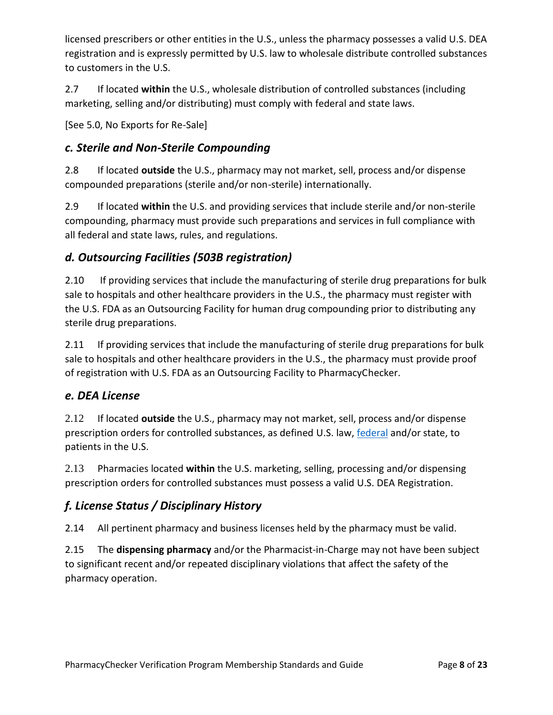licensed prescribers or other entities in the U.S., unless the pharmacy possesses a valid U.S. DEA registration and is expressly permitted by U.S. law to wholesale distribute controlled substances to customers in the U.S.

2.7 If located **within** the U.S., wholesale distribution of controlled substances (including marketing, selling and/or distributing) must comply with federal and state laws.

[See 5.0, No Exports for Re-Sale]

#### *c. Sterile and Non-Sterile Compounding*

2.8 If located **outside** the U.S., pharmacy may not market, sell, process and/or dispense compounded preparations (sterile and/or non-sterile) internationally.

2.9 If located **within** the U.S. and providing services that include sterile and/or non-sterile compounding, pharmacy must provide such preparations and services in full compliance with all federal and state laws, rules, and regulations.

## *d. Outsourcing Facilities (503B registration)*

2.10 If providing services that include the manufacturing of sterile drug preparations for bulk sale to hospitals and other healthcare providers in the U.S., the pharmacy must register with the U.S. FDA as an Outsourcing Facility for human drug compounding prior to distributing any sterile drug preparations.

2.11 If providing services that include the manufacturing of sterile drug preparations for bulk sale to hospitals and other healthcare providers in the U.S., the pharmacy must provide proof of registration with U.S. FDA as an Outsourcing Facility to PharmacyChecker.

#### *e. DEA License*

2.12 If located **outside** the U.S., pharmacy may not market, sell, process and/or dispense prescription orders for controlled substances, as defined U.S. law, [federal](http://www.deadiversion.usdoj.gov/schedules/) and/or state, to patients in the U.S.

2.13 Pharmacies located **within** the U.S. marketing, selling, processing and/or dispensing prescription orders for controlled substances must possess a valid U.S. DEA Registration.

## *f. License Status / Disciplinary History*

2.14 All pertinent pharmacy and business licenses held by the pharmacy must be valid.

2.15 The **dispensing pharmacy** and/or the Pharmacist-in-Charge may not have been subject to significant recent and/or repeated disciplinary violations that affect the safety of the pharmacy operation.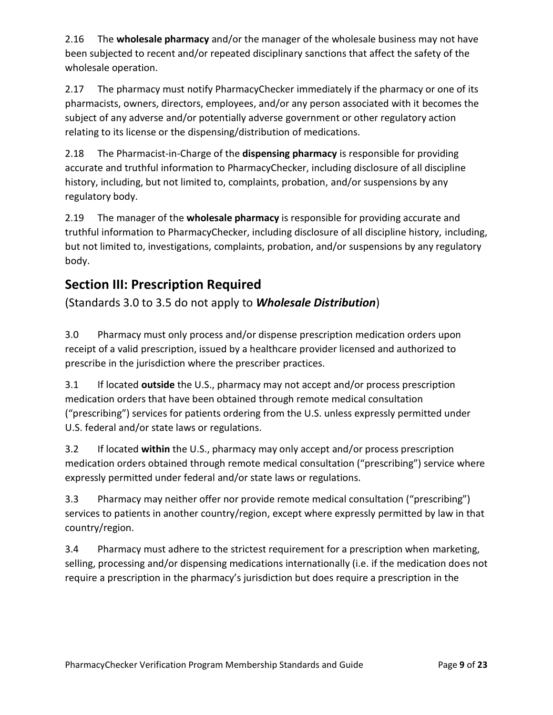2.16 The **wholesale pharmacy** and/or the manager of the wholesale business may not have been subjected to recent and/or repeated disciplinary sanctions that affect the safety of the wholesale operation.

2.17 The pharmacy must notify PharmacyChecker immediately if the pharmacy or one of its pharmacists, owners, directors, employees, and/or any person associated with it becomes the subject of any adverse and/or potentially adverse government or other regulatory action relating to its license or the dispensing/distribution of medications.

2.18 The Pharmacist-in-Charge of the **dispensing pharmacy** is responsible for providing accurate and truthful information to PharmacyChecker, including disclosure of all discipline history, including, but not limited to, complaints, probation, and/or suspensions by any regulatory body.

2.19 The manager of the **wholesale pharmacy** is responsible for providing accurate and truthful information to PharmacyChecker, including disclosure of all discipline history, including, but not limited to, investigations, complaints, probation, and/or suspensions by any regulatory body.

# **Section III: Prescription Required**

(Standards 3.0 to 3.5 do not apply to *Wholesale Distribution*)

3.0 Pharmacy must only process and/or dispense prescription medication orders upon receipt of a valid prescription, issued by a healthcare provider licensed and authorized to prescribe in the jurisdiction where the prescriber practices.

3.1 If located **outside** the U.S., pharmacy may not accept and/or process prescription medication orders that have been obtained through remote medical consultation ("prescribing") services for patients ordering from the U.S. unless expressly permitted under U.S. federal and/or state laws or regulations.

3.2 If located **within** the U.S., pharmacy may only accept and/or process prescription medication orders obtained through remote medical consultation ("prescribing") service where expressly permitted under federal and/or state laws or regulations.

3.3 Pharmacy may neither offer nor provide remote medical consultation ("prescribing") services to patients in another country/region, except where expressly permitted by law in that country/region.

3.4 Pharmacy must adhere to the strictest requirement for a prescription when marketing, selling, processing and/or dispensing medications internationally (i.e. if the medication does not require a prescription in the pharmacy's jurisdiction but does require a prescription in the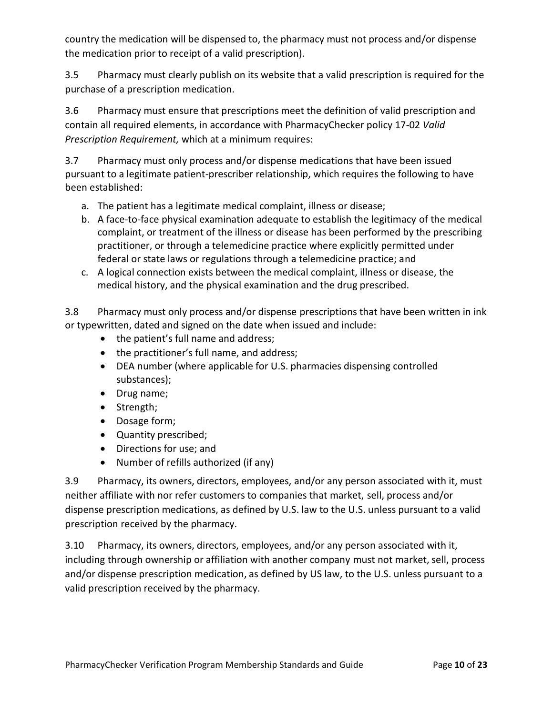country the medication will be dispensed to, the pharmacy must not process and/or dispense the medication prior to receipt of a valid prescription).

3.5 Pharmacy must clearly publish on its website that a valid prescription is required for the purchase of a prescription medication.

3.6 Pharmacy must ensure that prescriptions meet the definition of valid prescription and contain all required elements, in accordance with PharmacyChecker policy 17-02 *Valid Prescription Requirement,* which at a minimum requires:

3.7 Pharmacy must only process and/or dispense medications that have been issued pursuant to a legitimate patient-prescriber relationship, which requires the following to have been established:

- a. The patient has a legitimate medical complaint, illness or disease;
- b. A face-to-face physical examination adequate to establish the legitimacy of the medical complaint, or treatment of the illness or disease has been performed by the prescribing practitioner, or through a telemedicine practice where explicitly permitted under federal or state laws or regulations through a telemedicine practice; and
- c. A logical connection exists between the medical complaint, illness or disease, the medical history, and the physical examination and the drug prescribed.

3.8 Pharmacy must only process and/or dispense prescriptions that have been written in ink or typewritten, dated and signed on the date when issued and include:

- the patient's full name and address;
- the practitioner's full name, and address;
- DEA number (where applicable for U.S. pharmacies dispensing controlled substances);
- Drug name;
- Strength;
- Dosage form;
- Quantity prescribed;
- Directions for use; and
- Number of refills authorized (if any)

3.9 Pharmacy, its owners, directors, employees, and/or any person associated with it, must neither affiliate with nor refer customers to companies that market, sell, process and/or dispense prescription medications, as defined by U.S. law to the U.S. unless pursuant to a valid prescription received by the pharmacy.

3.10 Pharmacy, its owners, directors, employees, and/or any person associated with it, including through ownership or affiliation with another company must not market, sell, process and/or dispense prescription medication, as defined by US law, to the U.S. unless pursuant to a valid prescription received by the pharmacy.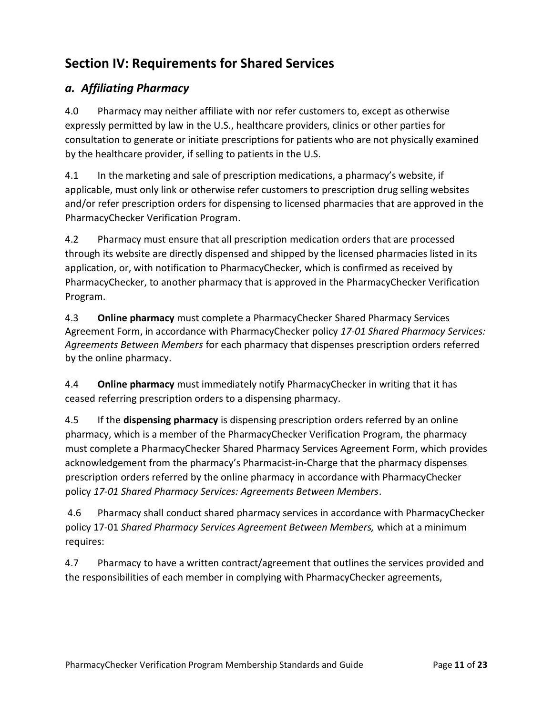# **Section IV: Requirements for Shared Services**

## *a. Affiliating Pharmacy*

4.0 Pharmacy may neither affiliate with nor refer customers to, except as otherwise expressly permitted by law in the U.S., healthcare providers, clinics or other parties for consultation to generate or initiate prescriptions for patients who are not physically examined by the healthcare provider, if selling to patients in the U.S.

4.1 In the marketing and sale of prescription medications, a pharmacy's website, if applicable, must only link or otherwise refer customers to prescription drug selling websites and/or refer prescription orders for dispensing to licensed pharmacies that are approved in the PharmacyChecker Verification Program.

4.2 Pharmacy must ensure that all prescription medication orders that are processed through its website are directly dispensed and shipped by the licensed pharmacies listed in its application, or, with notification to PharmacyChecker, which is confirmed as received by PharmacyChecker, to another pharmacy that is approved in the PharmacyChecker Verification Program.

4.3 **Online pharmacy** must complete a PharmacyChecker Shared Pharmacy Services Agreement Form, in accordance with PharmacyChecker policy *17-01 Shared Pharmacy Services: Agreements Between Members* for each pharmacy that dispenses prescription orders referred by the online pharmacy.

4.4 **Online pharmacy** must immediately notify PharmacyChecker in writing that it has ceased referring prescription orders to a dispensing pharmacy.

4.5 If the **dispensing pharmacy** is dispensing prescription orders referred by an online pharmacy, which is a member of the PharmacyChecker Verification Program, the pharmacy must complete a PharmacyChecker Shared Pharmacy Services Agreement Form, which provides acknowledgement from the pharmacy's Pharmacist-in-Charge that the pharmacy dispenses prescription orders referred by the online pharmacy in accordance with PharmacyChecker policy *17-01 Shared Pharmacy Services: Agreements Between Members*.

4.6 Pharmacy shall conduct shared pharmacy services in accordance with PharmacyChecker policy 17-01 *Shared Pharmacy Services Agreement Between Members,* which at a minimum requires:

4.7 Pharmacy to have a written contract/agreement that outlines the services provided and the responsibilities of each member in complying with PharmacyChecker agreements,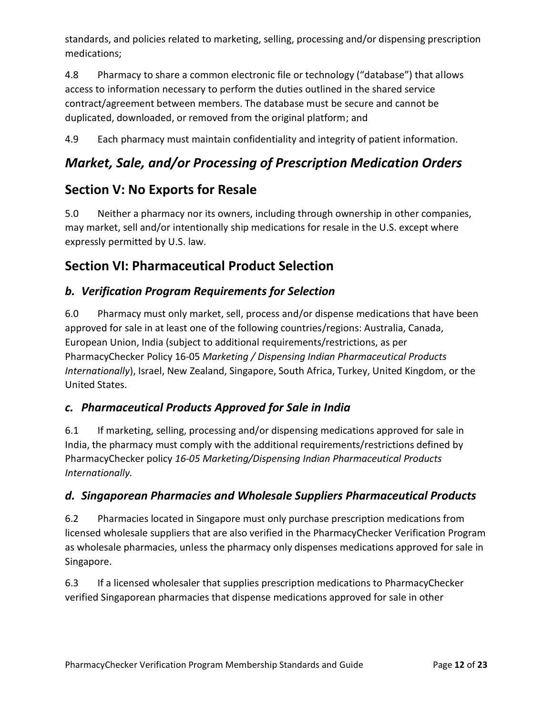standards, and policies related to marketing, selling, processing and/or dispensing prescription medications;

4.8 Pharmacy to share a common electronic file or technology ("database") that allows access to information necessary to perform the duties outlined in the shared service contract/agreement between members. The database must be secure and cannot be duplicated, downloaded, or removed from the original platform; and

4.9 Each pharmacy must maintain confidentiality and integrity of patient information.

# *Market, Sale, and/or Processing of Prescription Medication Orders*

# **Section V: No Exports for Resale**

5.0 Neither a pharmacy nor its owners, including through ownership in other companies, may market, sell and/or intentionally ship medications for resale in the U.S. except where expressly permitted by U.S. law.

# **Section VI: Pharmaceutical Product Selection**

## *b. Verification Program Requirements for Selection*

6.0 Pharmacy must only market, sell, process and/or dispense medications that have been approved for sale in at least one of the following countries/regions: Australia, Canada, European Union, India (subject to additional requirements/restrictions, as per PharmacyChecker Policy 16-05 *Marketing / Dispensing Indian Pharmaceutical Products Internationally*), Israel, New Zealand, Singapore, South Africa, Turkey, United Kingdom, or the United States.

## *c. Pharmaceutical Products Approved for Sale in India*

6.1 If marketing, selling, processing and/or dispensing medications approved for sale in India, the pharmacy must comply with the additional requirements/restrictions defined by PharmacyChecker policy *16-05 Marketing/Dispensing Indian Pharmaceutical Products Internationally.*

## *d. Singaporean Pharmacies and Wholesale Suppliers Pharmaceutical Products*

6.2 Pharmacies located in Singapore must only purchase prescription medications from licensed wholesale suppliers that are also verified in the PharmacyChecker Verification Program as wholesale pharmacies, unless the pharmacy only dispenses medications approved for sale in Singapore.

6.3 If a licensed wholesaler that supplies prescription medications to PharmacyChecker verified Singaporean pharmacies that dispense medications approved for sale in other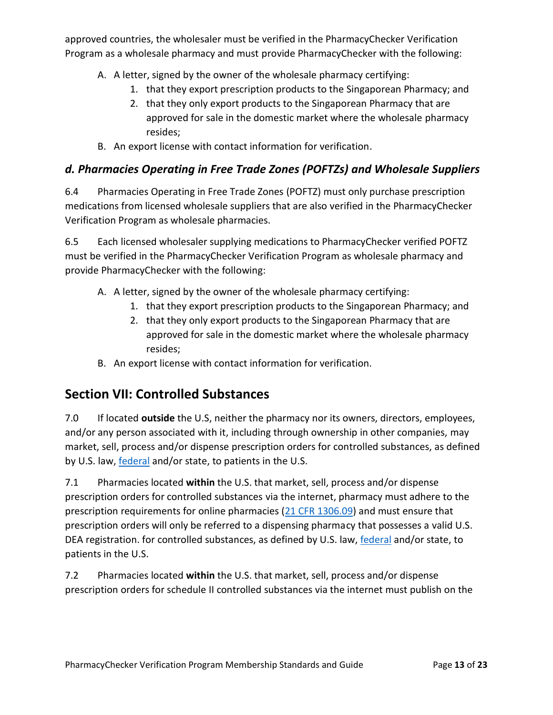approved countries, the wholesaler must be verified in the PharmacyChecker Verification Program as a wholesale pharmacy and must provide PharmacyChecker with the following:

- A. A letter, signed by the owner of the wholesale pharmacy certifying:
	- 1. that they export prescription products to the Singaporean Pharmacy; and
	- 2. that they only export products to the Singaporean Pharmacy that are approved for sale in the domestic market where the wholesale pharmacy resides;
- B. An export license with contact information for verification.

## *d. Pharmacies Operating in Free Trade Zones (POFTZs) and Wholesale Suppliers*

6.4 Pharmacies Operating in Free Trade Zones (POFTZ) must only purchase prescription medications from licensed wholesale suppliers that are also verified in the PharmacyChecker Verification Program as wholesale pharmacies.

6.5 Each licensed wholesaler supplying medications to PharmacyChecker verified POFTZ must be verified in the PharmacyChecker Verification Program as wholesale pharmacy and provide PharmacyChecker with the following:

- A. A letter, signed by the owner of the wholesale pharmacy certifying:
	- 1. that they export prescription products to the Singaporean Pharmacy; and
	- 2. that they only export products to the Singaporean Pharmacy that are approved for sale in the domestic market where the wholesale pharmacy resides;
- B. An export license with contact information for verification.

# **Section VII: Controlled Substances**

7.0 If located **outside** the U.S, neither the pharmacy nor its owners, directors, employees, and/or any person associated with it, including through ownership in other companies, may market, sell, process and/or dispense prescription orders for controlled substances, as defined by U.S. law, **federal and/or state**, to patients in the U.S.

7.1 Pharmacies located **within** the U.S. that market, sell, process and/or dispense prescription orders for controlled substances via the internet, pharmacy must adhere to the prescription requirements for online pharmacies [\(21 CFR 1306.09\)](http://www.deadiversion.usdoj.gov/21cfr/cfr/1306/1306_09.htm) and must ensure that prescription orders will only be referred to a dispensing pharmacy that possesses a valid U.S. DEA registration. for controlled substances, as defined by U.S. law[, federal](http://www.deadiversion.usdoj.gov/schedules/) and/or state, to patients in the U.S.

7.2 Pharmacies located **within** the U.S. that market, sell, process and/or dispense prescription orders for schedule II controlled substances via the internet must publish on the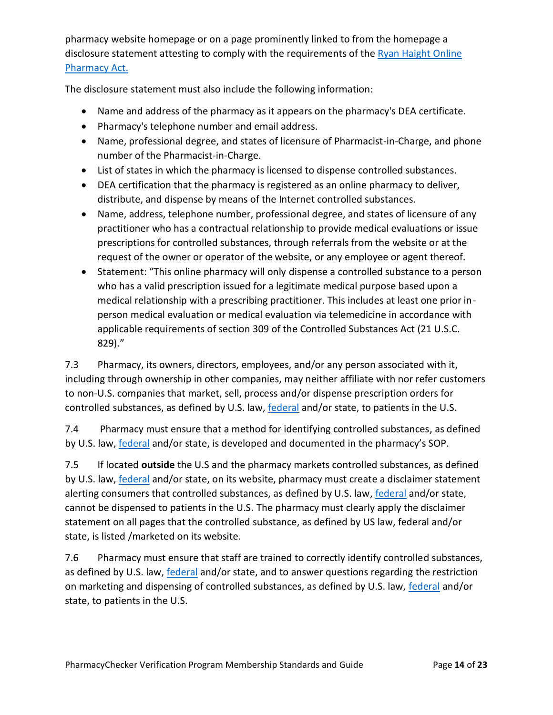pharmacy website homepage or on a page prominently linked to from the homepage a disclosure statement attesting to comply with the requirements of the Ryan Haight Online [Pharmacy Act.](https://www.deadiversion.usdoj.gov/21cfr/cfr/1304/1304_45.htm)

The disclosure statement must also include the following information:

- Name and address of the pharmacy as it appears on the pharmacy's DEA certificate.
- Pharmacy's telephone number and email address.
- Name, professional degree, and states of licensure of Pharmacist-in-Charge, and phone number of the Pharmacist-in-Charge.
- List of states in which the pharmacy is licensed to dispense controlled substances.
- DEA certification that the pharmacy is registered as an online pharmacy to deliver, distribute, and dispense by means of the Internet controlled substances.
- Name, address, telephone number, professional degree, and states of licensure of any practitioner who has a contractual relationship to provide medical evaluations or issue prescriptions for controlled substances, through referrals from the website or at the request of the owner or operator of the website, or any employee or agent thereof.
- Statement: "This online pharmacy will only dispense a controlled substance to a person who has a valid prescription issued for a legitimate medical purpose based upon a medical relationship with a prescribing practitioner. This includes at least one prior inperson medical evaluation or medical evaluation via telemedicine in accordance with applicable requirements of section 309 of the Controlled Substances Act (21 U.S.C. 829)."

7.3 Pharmacy, its owners, directors, employees, and/or any person associated with it, including through ownership in other companies, may neither affiliate with nor refer customers to non-U.S. companies that market, sell, process and/or dispense prescription orders for controlled substances, as defined by U.S. law[, federal](http://www.deadiversion.usdoj.gov/schedules/) and/or state, to patients in the U.S.

7.4 Pharmacy must ensure that a method for identifying controlled substances, as defined by U.S. law, **federal** and/or state, is developed and documented in the pharmacy's SOP.

7.5 If located **outside** the U.S and the pharmacy markets controlled substances, as defined by U.S. law, **federal** and/or state, on its website, pharmacy must create a disclaimer statement alerting consumers that controlled substances, as defined by U.S. law, [federal](http://www.deadiversion.usdoj.gov/schedules/) and/or state, cannot be dispensed to patients in the U.S. The pharmacy must clearly apply the disclaimer statement on all pages that the controlled substance, as defined by US law, federal and/or state, is listed /marketed on its website.

7.6 Pharmacy must ensure that staff are trained to correctly identify controlled substances, as defined by U.S. law, **[federal](http://www.deadiversion.usdoj.gov/schedules/)** and/or state, and to answer questions regarding the restriction on marketing and dispensing of controlled substances, as defined by U.S. law, [federal](http://www.deadiversion.usdoj.gov/schedules/) and/or state, to patients in the U.S.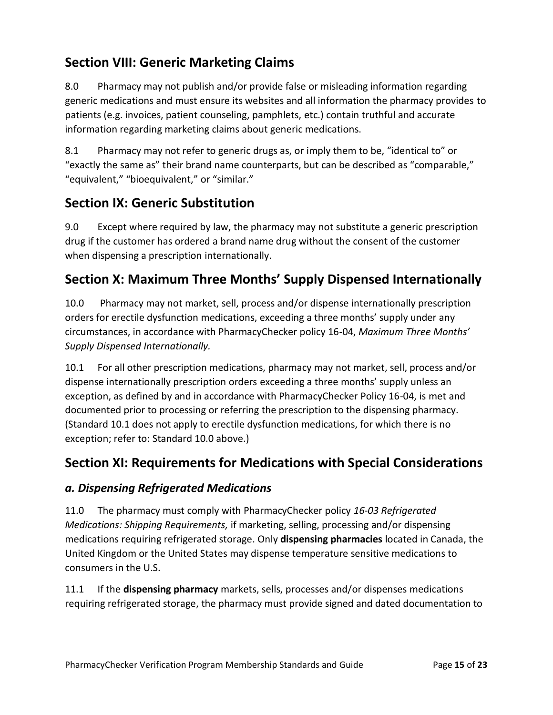# **Section VIII: Generic Marketing Claims**

8.0 Pharmacy may not publish and/or provide false or misleading information regarding generic medications and must ensure its websites and all information the pharmacy provides to patients (e.g. invoices, patient counseling, pamphlets, etc.) contain truthful and accurate information regarding marketing claims about generic medications.

8.1 Pharmacy may not refer to generic drugs as, or imply them to be, "identical to" or "exactly the same as" their brand name counterparts, but can be described as "comparable," "equivalent," "bioequivalent," or "similar."

# **Section IX: Generic Substitution**

9.0 Except where required by law, the pharmacy may not substitute a generic prescription drug if the customer has ordered a brand name drug without the consent of the customer when dispensing a prescription internationally.

# **Section X: Maximum Three Months' Supply Dispensed Internationally**

10.0 Pharmacy may not market, sell, process and/or dispense internationally prescription orders for erectile dysfunction medications, exceeding a three months' supply under any circumstances, in accordance with PharmacyChecker policy 16-04, *Maximum Three Months' Supply Dispensed Internationally.*

10.1 For all other prescription medications, pharmacy may not market, sell, process and/or dispense internationally prescription orders exceeding a three months' supply unless an exception, as defined by and in accordance with PharmacyChecker Policy 16-04, is met and documented prior to processing or referring the prescription to the dispensing pharmacy. (Standard 10.1 does not apply to erectile dysfunction medications, for which there is no exception; refer to: Standard 10.0 above.)

# **Section XI: Requirements for Medications with Special Considerations**

## *a. Dispensing Refrigerated Medications*

11.0 The pharmacy must comply with PharmacyChecker policy *16-03 Refrigerated Medications: Shipping Requirements,* if marketing, selling, processing and/or dispensing medications requiring refrigerated storage. Only **dispensing pharmacies** located in Canada, the United Kingdom or the United States may dispense temperature sensitive medications to consumers in the U.S.

11.1 If the **dispensing pharmacy** markets, sells, processes and/or dispenses medications requiring refrigerated storage, the pharmacy must provide signed and dated documentation to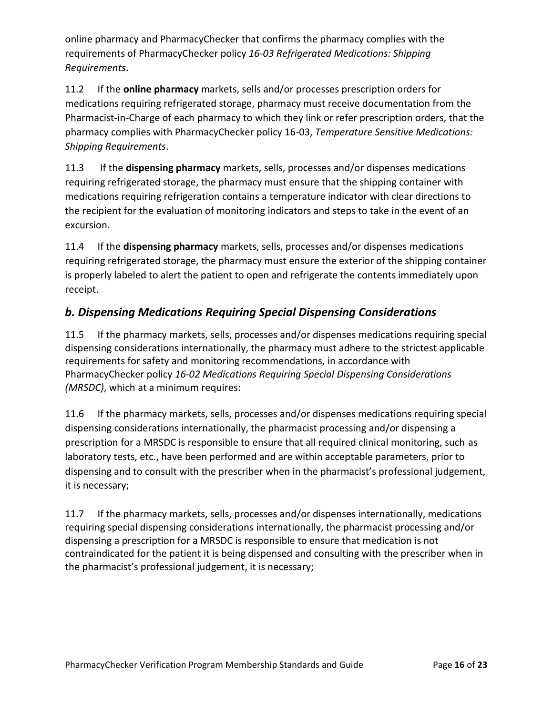online pharmacy and PharmacyChecker that confirms the pharmacy complies with the requirements of PharmacyChecker policy *16-03 Refrigerated Medications: Shipping Requirements*.

11.2 If the **online pharmacy** markets, sells and/or processes prescription orders for medications requiring refrigerated storage, pharmacy must receive documentation from the Pharmacist-in-Charge of each pharmacy to which they link or refer prescription orders, that the pharmacy complies with PharmacyChecker policy 16-03, *Temperature Sensitive Medications: Shipping Requirements*.

11.3 If the **dispensing pharmacy** markets, sells, processes and/or dispenses medications requiring refrigerated storage, the pharmacy must ensure that the shipping container with medications requiring refrigeration contains a temperature indicator with clear directions to the recipient for the evaluation of monitoring indicators and steps to take in the event of an excursion.

11.4 If the **dispensing pharmacy** markets, sells, processes and/or dispenses medications requiring refrigerated storage, the pharmacy must ensure the exterior of the shipping container is properly labeled to alert the patient to open and refrigerate the contents immediately upon receipt.

## *b. Dispensing Medications Requiring Special Dispensing Considerations*

11.5 If the pharmacy markets, sells, processes and/or dispenses medications requiring special dispensing considerations internationally, the pharmacy must adhere to the strictest applicable requirements for safety and monitoring recommendations, in accordance with PharmacyChecker policy *16-02 Medications Requiring Special Dispensing Considerations (MRSDC)*, which at a minimum requires:

11.6 If the pharmacy markets, sells, processes and/or dispenses medications requiring special dispensing considerations internationally, the pharmacist processing and/or dispensing a prescription for a MRSDC is responsible to ensure that all required clinical monitoring, such as laboratory tests, etc., have been performed and are within acceptable parameters, prior to dispensing and to consult with the prescriber when in the pharmacist's professional judgement, it is necessary;

11.7 If the pharmacy markets, sells, processes and/or dispenses internationally, medications requiring special dispensing considerations internationally, the pharmacist processing and/or dispensing a prescription for a MRSDC is responsible to ensure that medication is not contraindicated for the patient it is being dispensed and consulting with the prescriber when in the pharmacist's professional judgement, it is necessary;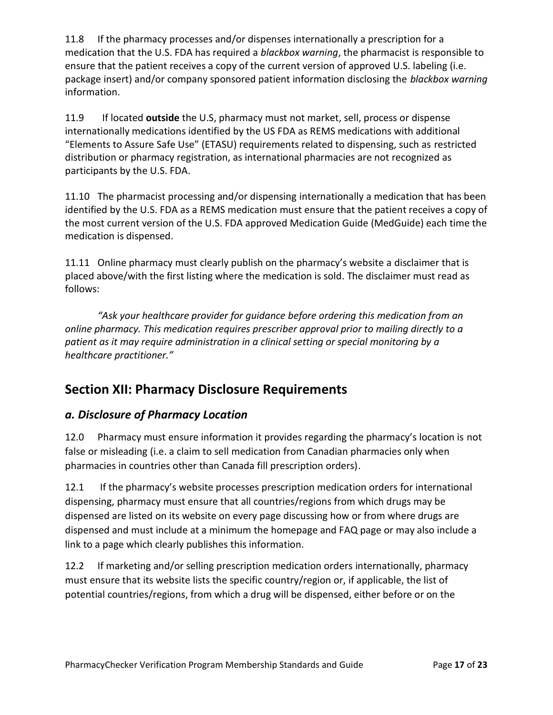11.8 If the pharmacy processes and/or dispenses internationally a prescription for a medication that the U.S. FDA has required a *blackbox warning*, the pharmacist is responsible to ensure that the patient receives a copy of the current version of approved U.S. labeling (i.e. package insert) and/or company sponsored patient information disclosing the *blackbox warning* information.

11.9 If located **outside** the U.S, pharmacy must not market, sell, process or dispense internationally medications identified by the US FDA as REMS medications with additional "Elements to Assure Safe Use" (ETASU) requirements related to dispensing, such as restricted distribution or pharmacy registration, as international pharmacies are not recognized as participants by the U.S. FDA.

11.10 The pharmacist processing and/or dispensing internationally a medication that has been identified by the U.S. FDA as a REMS medication must ensure that the patient receives a copy of the most current version of the U.S. FDA approved Medication Guide (MedGuide) each time the medication is dispensed.

11.11 Online pharmacy must clearly publish on the pharmacy's website a disclaimer that is placed above/with the first listing where the medication is sold. The disclaimer must read as follows:

*"Ask your healthcare provider for guidance before ordering this medication from an online pharmacy. This medication requires prescriber approval prior to mailing directly to a patient as it may require administration in a clinical setting or special monitoring by a healthcare practitioner."*

# **Section XII: Pharmacy Disclosure Requirements**

## *a. Disclosure of Pharmacy Location*

12.0 Pharmacy must ensure information it provides regarding the pharmacy's location is not false or misleading (i.e. a claim to sell medication from Canadian pharmacies only when pharmacies in countries other than Canada fill prescription orders).

12.1 If the pharmacy's website processes prescription medication orders for international dispensing, pharmacy must ensure that all countries/regions from which drugs may be dispensed are listed on its website on every page discussing how or from where drugs are dispensed and must include at a minimum the homepage and FAQ page or may also include a link to a page which clearly publishes this information.

12.2 If marketing and/or selling prescription medication orders internationally, pharmacy must ensure that its website lists the specific country/region or, if applicable, the list of potential countries/regions, from which a drug will be dispensed, either before or on the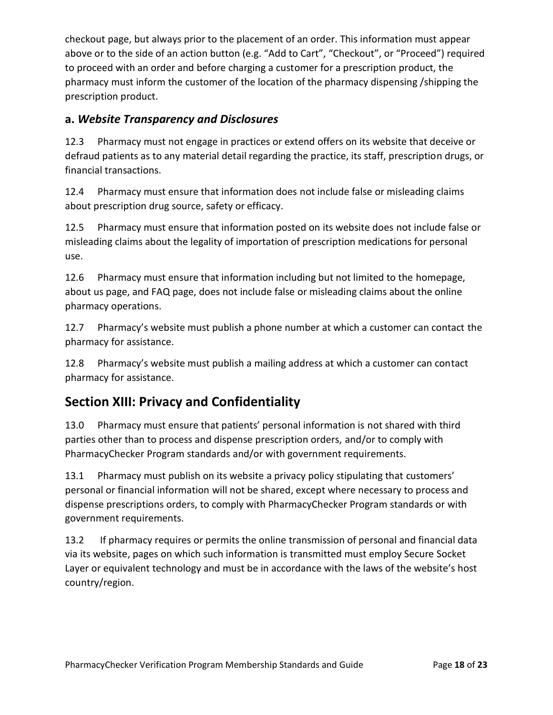checkout page, but always prior to the placement of an order. This information must appear above or to the side of an action button (e.g. "Add to Cart", "Checkout", or "Proceed") required to proceed with an order and before charging a customer for a prescription product, the pharmacy must inform the customer of the location of the pharmacy dispensing /shipping the prescription product.

#### **a.** *Website Transparency and Disclosures*

12.3 Pharmacy must not engage in practices or extend offers on its website that deceive or defraud patients as to any material detail regarding the practice, its staff, prescription drugs, or financial transactions.

12.4 Pharmacy must ensure that information does not include false or misleading claims about prescription drug source, safety or efficacy.

12.5 Pharmacy must ensure that information posted on its website does not include false or misleading claims about the legality of importation of prescription medications for personal use.

12.6 Pharmacy must ensure that information including but not limited to the homepage, about us page, and FAQ page, does not include false or misleading claims about the online pharmacy operations.

12.7 Pharmacy's website must publish a phone number at which a customer can contact the pharmacy for assistance.

12.8 Pharmacy's website must publish a mailing address at which a customer can contact pharmacy for assistance.

# **Section XIII: Privacy and Confidentiality**

13.0 Pharmacy must ensure that patients' personal information is not shared with third parties other than to process and dispense prescription orders, and/or to comply with PharmacyChecker Program standards and/or with government requirements.

13.1 Pharmacy must publish on its website a privacy policy stipulating that customers' personal or financial information will not be shared, except where necessary to process and dispense prescriptions orders, to comply with PharmacyChecker Program standards or with government requirements.

13.2 If pharmacy requires or permits the online transmission of personal and financial data via its website, pages on which such information is transmitted must employ Secure Socket Layer or equivalent technology and must be in accordance with the laws of the website's host country/region.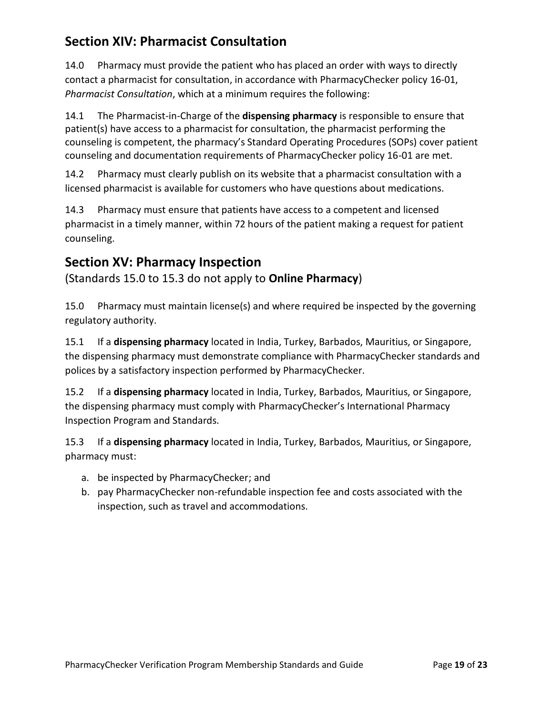# **Section XIV: Pharmacist Consultation**

14.0 Pharmacy must provide the patient who has placed an order with ways to directly contact a pharmacist for consultation, in accordance with PharmacyChecker policy 16-01, *Pharmacist Consultation*, which at a minimum requires the following:

14.1 The Pharmacist-in-Charge of the **dispensing pharmacy** is responsible to ensure that patient(s) have access to a pharmacist for consultation, the pharmacist performing the counseling is competent, the pharmacy's Standard Operating Procedures (SOPs) cover patient counseling and documentation requirements of PharmacyChecker policy 16-01 are met.

14.2 Pharmacy must clearly publish on its website that a pharmacist consultation with a licensed pharmacist is available for customers who have questions about medications.

14.3 Pharmacy must ensure that patients have access to a competent and licensed pharmacist in a timely manner, within 72 hours of the patient making a request for patient counseling.

# **Section XV: Pharmacy Inspection**

(Standards 15.0 to 15.3 do not apply to **Online Pharmacy**)

15.0 Pharmacy must maintain license(s) and where required be inspected by the governing regulatory authority.

15.1 If a **dispensing pharmacy** located in India, Turkey, Barbados, Mauritius, or Singapore, the dispensing pharmacy must demonstrate compliance with PharmacyChecker standards and polices by a satisfactory inspection performed by PharmacyChecker.

15.2 If a **dispensing pharmacy** located in India, Turkey, Barbados, Mauritius, or Singapore, the dispensing pharmacy must comply with PharmacyChecker's International Pharmacy Inspection Program and Standards.

15.3 If a **dispensing pharmacy** located in India, Turkey, Barbados, Mauritius, or Singapore, pharmacy must:

- a. be inspected by PharmacyChecker; and
- b. pay PharmacyChecker non-refundable inspection fee and costs associated with the inspection, such as travel and accommodations.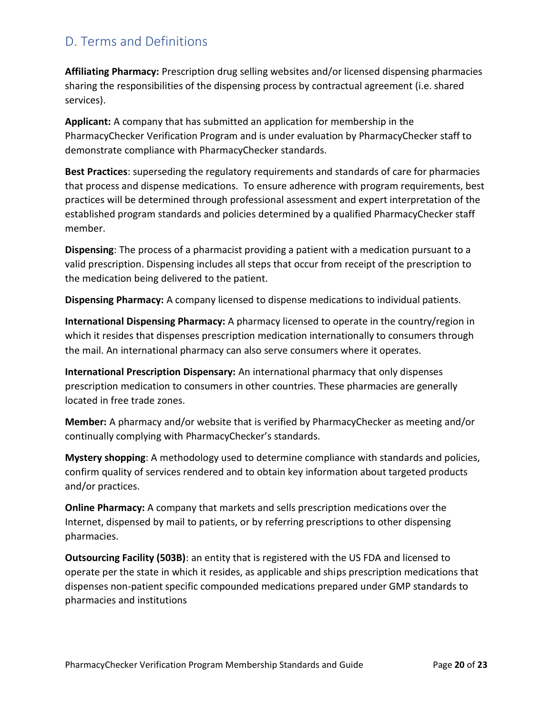# <span id="page-19-0"></span>D. Terms and Definitions

**Affiliating Pharmacy:** Prescription drug selling websites and/or licensed dispensing pharmacies sharing the responsibilities of the dispensing process by contractual agreement (i.e. shared services).

**Applicant:** A company that has submitted an application for membership in the PharmacyChecker Verification Program and is under evaluation by PharmacyChecker staff to demonstrate compliance with PharmacyChecker standards.

**Best Practices**: superseding the regulatory requirements and standards of care for pharmacies that process and dispense medications. To ensure adherence with program requirements, best practices will be determined through professional assessment and expert interpretation of the established program standards and policies determined by a qualified PharmacyChecker staff member.

**Dispensing**: The process of a pharmacist providing a patient with a medication pursuant to a valid prescription. Dispensing includes all steps that occur from receipt of the prescription to the medication being delivered to the patient.

**Dispensing Pharmacy:** A company licensed to dispense medications to individual patients.

**International Dispensing Pharmacy:** A pharmacy licensed to operate in the country/region in which it resides that dispenses prescription medication internationally to consumers through the mail. An international pharmacy can also serve consumers where it operates.

**International Prescription Dispensary:** An international pharmacy that only dispenses prescription medication to consumers in other countries. These pharmacies are generally located in free trade zones.

**Member:** A pharmacy and/or website that is verified by PharmacyChecker as meeting and/or continually complying with PharmacyChecker's standards.

**Mystery shopping**: A methodology used to determine compliance with standards and policies, confirm quality of services rendered and to obtain key information about targeted products and/or practices.

**Online Pharmacy:** A company that markets and sells prescription medications over the Internet, dispensed by mail to patients, or by referring prescriptions to other dispensing pharmacies.

**Outsourcing Facility (503B)**: an entity that is registered with the US FDA and licensed to operate per the state in which it resides, as applicable and ships prescription medications that dispenses non-patient specific compounded medications prepared under GMP standards to pharmacies and institutions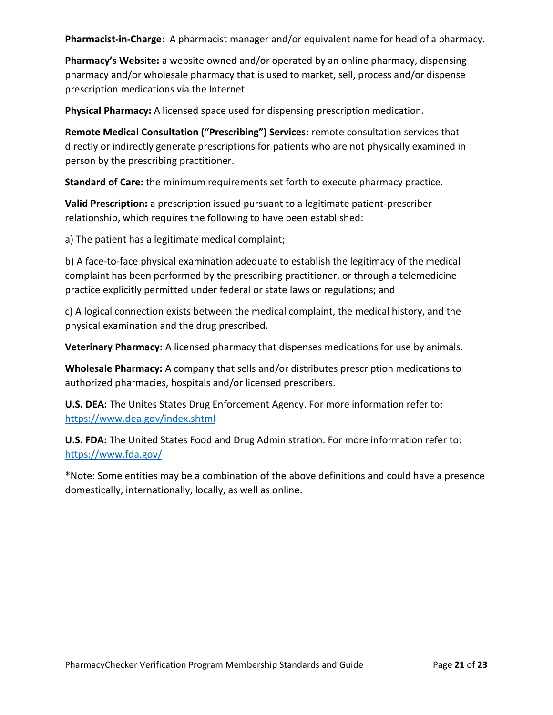**Pharmacist-in-Charge**: A pharmacist manager and/or equivalent name for head of a pharmacy.

**Pharmacy's Website:** a website owned and/or operated by an online pharmacy, dispensing pharmacy and/or wholesale pharmacy that is used to market, sell, process and/or dispense prescription medications via the Internet.

**Physical Pharmacy:** A licensed space used for dispensing prescription medication.

**Remote Medical Consultation ("Prescribing") Services:** remote consultation services that directly or indirectly generate prescriptions for patients who are not physically examined in person by the prescribing practitioner.

**Standard of Care:** the minimum requirements set forth to execute pharmacy practice.

**Valid Prescription:** a prescription issued pursuant to a legitimate patient-prescriber relationship, which requires the following to have been established:

a) The patient has a legitimate medical complaint;

b) A face-to-face physical examination adequate to establish the legitimacy of the medical complaint has been performed by the prescribing practitioner, or through a telemedicine practice explicitly permitted under federal or state laws or regulations; and

c) A logical connection exists between the medical complaint, the medical history, and the physical examination and the drug prescribed.

**Veterinary Pharmacy:** A licensed pharmacy that dispenses medications for use by animals.

**Wholesale Pharmacy:** A company that sells and/or distributes prescription medications to authorized pharmacies, hospitals and/or licensed prescribers.

**U.S. DEA:** The Unites States Drug Enforcement Agency. For more information refer to: <https://www.dea.gov/index.shtml>

**U.S. FDA:** The United States Food and Drug Administration. For more information refer to: <https://www.fda.gov/>

\*Note: Some entities may be a combination of the above definitions and could have a presence domestically, internationally, locally, as well as online.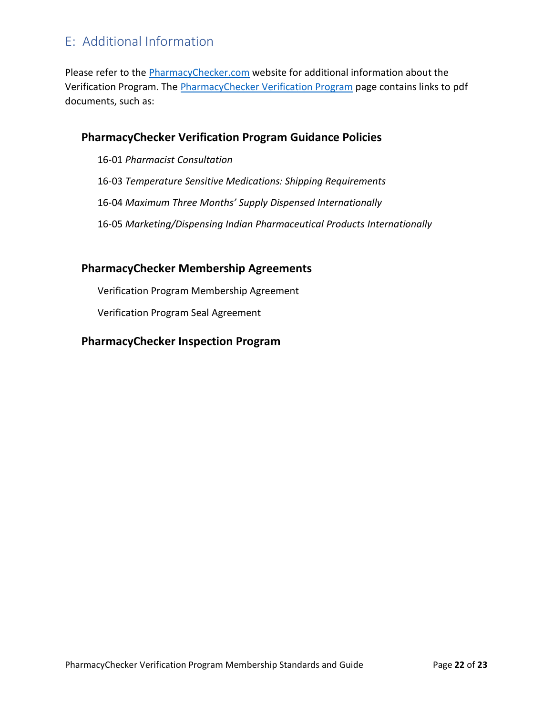# <span id="page-21-0"></span>E: Additional Information

Please refer to the [PharmacyChecker.com](https://www.pharmacychecker.com/) website for additional information about the Verification Program. The [PharmacyChecker Verification Program](https://www.pharmacychecker.com/sealprogram/choose.asp) page contains links to pdf documents, such as:

#### **PharmacyChecker Verification Program Guidance Policies**

- 16-01 *Pharmacist Consultation*
- 16-03 *Temperature Sensitive Medications: Shipping Requirements*
- 16-04 *Maximum Three Months' Supply Dispensed Internationally*
- 16-05 *Marketing/Dispensing Indian Pharmaceutical Products Internationally*

#### **PharmacyChecker Membership Agreements**

Verification Program Membership Agreement

Verification Program Seal Agreement

#### **PharmacyChecker Inspection Program**